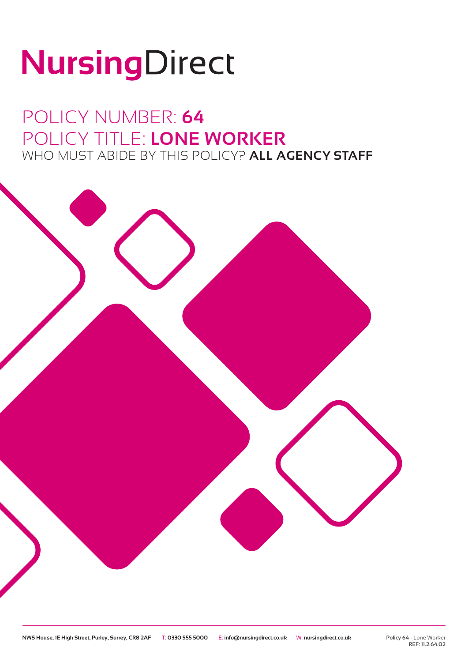# NursingDirect

### POLICY NUMBER: **64** POLICY TITLE: **LONE WORKER** WHO MUST ABIDE BY THIS POLICY? **ALL AGENCY STAFF**

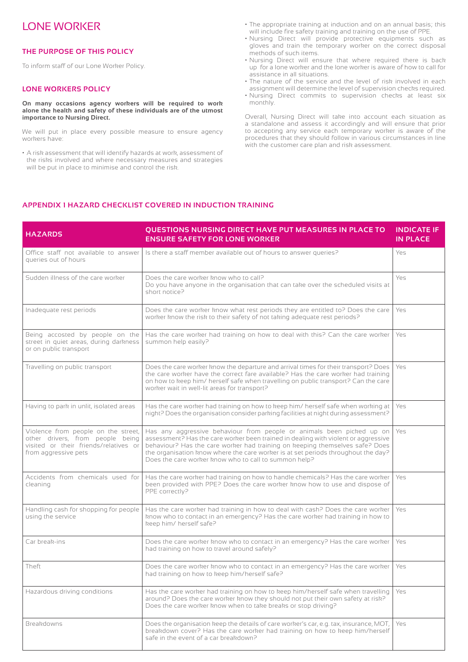#### LONE WORKER

#### **THE PURPOSE OF THIS POLICY**

To inform staff of our Lone Worker Policy.

#### **LONE WORKERS POLICY**

**On many occasions agency workers will be required to work alone the health and safety of these individuals are of the utmost importance to Nursing Direct.**

We will put in place every possible measure to ensure agency workers have:

• A risk assessment that will identify hazards at work, assessment of the risks involved and where necessary measures and strategies will be put in place to minimise and control the risk.

- The appropriate training at induction and on an annual basis; this will include fire safety training and training on the use of PPE.
- Nursing Direct will provide protective equipments such as gloves and train the temporary worker on the correct disposal methods of such items.
- Nursing Direct will ensure that where required there is back up for a lone worker and the lone worker is aware of how to call for assistance in all situations.
- The nature of the service and the level of risk involved in each assignment will determine the level of supervision checks required.
- Nursing Direct commits to supervision checks at least six monthly.

Overall, Nursing Direct will take into account each situation as a standalone and assess it accordingly and will ensure that prior to accepting any service each temporary worker is aware of the procedures that they should follow in various circumstances in line with the customer care plan and risk assessment.

#### **APPENDIX 1 HAZARD CHECKLIST COVERED IN INDUCTION TRAINING**

| <b>HAZARDS</b>                                                                                                                           | QUESTIONS NURSING DIRECT HAVE PUT MEASURES IN PLACE TO<br><b>ENSURE SAFETY FOR LONE WORKER</b>                                                                                                                                                                                                                                                                                            | <b>INDICATE IF</b><br><b>IN PLACE</b> |
|------------------------------------------------------------------------------------------------------------------------------------------|-------------------------------------------------------------------------------------------------------------------------------------------------------------------------------------------------------------------------------------------------------------------------------------------------------------------------------------------------------------------------------------------|---------------------------------------|
| Office staff not available to answer<br>queries out of hours                                                                             | Is there a staff member available out of hours to answer queries?                                                                                                                                                                                                                                                                                                                         | Yes                                   |
| Sudden illness of the care worker                                                                                                        | Does the care worker know who to call?<br>Do you have anyone in the organisation that can take over the scheduled visits at<br>short notice?                                                                                                                                                                                                                                              | <b>Yes</b>                            |
| Inadequate rest periods                                                                                                                  | Does the care worker know what rest periods they are entitled to? Does the care<br>worker know the risk to their safety of not taking adequate rest periods?                                                                                                                                                                                                                              | Yes                                   |
| Being accosted by people on the<br>street in quiet areas, during darkness<br>or on public transport                                      | Has the care worker had training on how to deal with this? Can the care worker<br>summon help easily?                                                                                                                                                                                                                                                                                     | Yes                                   |
| Travelling on public transport                                                                                                           | Does the care worker know the departure and arrival times for their transport? Does<br>the care worker have the correct fare available? Has the care worker had training<br>on how to keep him/ herself safe when travelling on public transport? Can the care<br>worker wait in well-lit areas for transport?                                                                            | Yes                                   |
| Having to park in unlit, isolated areas                                                                                                  | Has the care worker had training on how to keep him/ herself safe when working at<br>night? Does the organisation consider parking facilities at night during assessment?                                                                                                                                                                                                                 | Yes                                   |
| Violence from people on the street,<br>other drivers, from people being<br>visited or their friends/relatives or<br>from aggressive pets | Has any aggressive behaviour from people or animals been picked up on<br>assessment? Has the care worker been trained in dealing with violent or aggressive<br>behaviour? Has the care worker had training on keeping themselves safe? Does<br>the organisation know where the care worker is at set periods throughout the day?<br>Does the care worker know who to call to summon help? | Yes                                   |
| Accidents from chemicals used for<br>cleaning                                                                                            | Has the care worker had training on how to handle chemicals? Has the care worker<br>been provided with PPE? Does the care worker know how to use and dispose of<br>PPE correctly?                                                                                                                                                                                                         | Yes                                   |
| Handling cash for shopping for people<br>using the service                                                                               | Has the care worker had training in how to deal with cash? Does the care worker<br>know who to contact in an emergency? Has the care worker had training in how to<br>keep him/ herself safe?                                                                                                                                                                                             | Yes                                   |
| Car break-ins                                                                                                                            | Does the care worker know who to contact in an emergency? Has the care worker<br>had training on how to travel around safely?                                                                                                                                                                                                                                                             | Yes                                   |
| Theft                                                                                                                                    | Does the care worker know who to contact in an emergency? Has the care worker<br>had training on how to keep him/herself safe?                                                                                                                                                                                                                                                            | Yes                                   |
| Hazardous driving conditions                                                                                                             | Has the care worker had training on how to keep him/herself safe when travelling<br>around? Does the care worker know they should not put their own safety at risk?<br>Does the care worker know when to take breaks or stop driving?                                                                                                                                                     | Yes                                   |
| <b>Breakdowns</b>                                                                                                                        | Does the organisation keep the details of care worker's car, e.g. tax, insurance, MOT,<br>breakdown cover? Has the care worker had training on how to keep him/herself<br>safe in the event of a car breakdown?                                                                                                                                                                           | Yes                                   |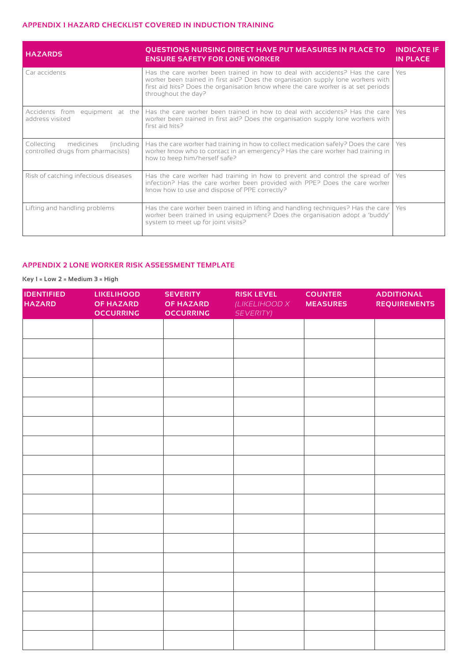#### **APPENDIX 1 HAZARD CHECKLIST COVERED IN INDUCTION TRAINING**

| <b>HAZARDS</b>                                                               | <b>QUESTIONS NURSING DIRECT HAVE PUT MEASURES IN PLACE TO</b><br><b>ENSURE SAFETY FOR LONE WORKER</b>                                                                                                                                                                         | <b>INDICATE IF</b><br><b>IN PLACE</b> |
|------------------------------------------------------------------------------|-------------------------------------------------------------------------------------------------------------------------------------------------------------------------------------------------------------------------------------------------------------------------------|---------------------------------------|
| Car accidents                                                                | Has the care worker been trained in how to deal with accidents? Has the care<br>worker been trained in first aid? Does the organisation supply lone workers with<br>first aid kits? Does the organisation know where the care worker is at set periods<br>throughout the day? | Yes                                   |
| Accidents from equipment at the<br>address visited                           | Has the care worker been trained in how to deal with accidents? Has the care<br>worker been trained in first aid? Does the organisation supply lone workers with<br>first aid kits?                                                                                           | Yes                                   |
| Collecting<br>medicines<br>(including)<br>controlled drugs from pharmacists) | Has the care worker had training in how to collect medication safely? Does the care<br>worker know who to contact in an emergency? Has the care worker had training in<br>how to keep him/herself safe?                                                                       | Yes                                   |
| Risk of catching infectious diseases                                         | Has the care worker had training in how to prevent and control the spread of<br>infection? Has the care worker been provided with PPE? Does the care worker<br>know how to use and dispose of PPE correctly?                                                                  | Yes                                   |
| Lifting and handling problems                                                | Has the care worker been trained in lifting and handling techniques? Has the care<br>worker been trained in using equipment? Does the organisation adopt a 'buddy'<br>system to meet up for joint visits?                                                                     | Yes                                   |

#### **APPENDIX 2 LONE WORKER RISK ASSESSMENT TEMPLATE**

#### **Key 1 = Low 2 = Medium 3 = High**

| <b>IDENTIFIED</b><br><b>HAZARD</b> | <b>LIKELIHOOD</b><br>OF HAZARD<br><b>OCCURRING</b> | <b>SEVERITY</b><br><b>OF HAZARD</b><br><b>OCCURRING</b> | <b>RISK LEVEL</b><br>(LIKELIHOOD X<br><b>SEVERITY)</b> | <b>COUNTER</b><br><b>MEASURES</b> | <b>ADDITIONAL</b><br><b>REQUIREMENTS</b> |
|------------------------------------|----------------------------------------------------|---------------------------------------------------------|--------------------------------------------------------|-----------------------------------|------------------------------------------|
|                                    |                                                    |                                                         |                                                        |                                   |                                          |
|                                    |                                                    |                                                         |                                                        |                                   |                                          |
|                                    |                                                    |                                                         |                                                        |                                   |                                          |
|                                    |                                                    |                                                         |                                                        |                                   |                                          |
|                                    |                                                    |                                                         |                                                        |                                   |                                          |
|                                    |                                                    |                                                         |                                                        |                                   |                                          |
|                                    |                                                    |                                                         |                                                        |                                   |                                          |
|                                    |                                                    |                                                         |                                                        |                                   |                                          |
|                                    |                                                    |                                                         |                                                        |                                   |                                          |
|                                    |                                                    |                                                         |                                                        |                                   |                                          |
|                                    |                                                    |                                                         |                                                        |                                   |                                          |
|                                    |                                                    |                                                         |                                                        |                                   |                                          |
|                                    |                                                    |                                                         |                                                        |                                   |                                          |
|                                    |                                                    |                                                         |                                                        |                                   |                                          |
|                                    |                                                    |                                                         |                                                        |                                   |                                          |
|                                    |                                                    |                                                         |                                                        |                                   |                                          |
|                                    |                                                    |                                                         |                                                        |                                   |                                          |